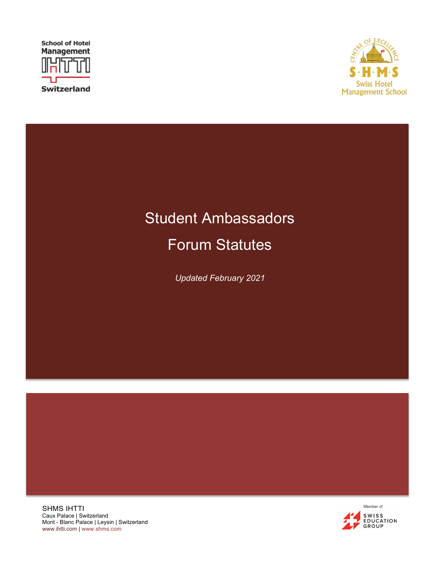



## Student Ambassadors

Forum Statutes

*Updated February 2021*

SHMS IHTTI Caux Palace | Switzerland Mont - Blanc Palace | Leysin | Switzerland www.ihtti.com | www.shms.com

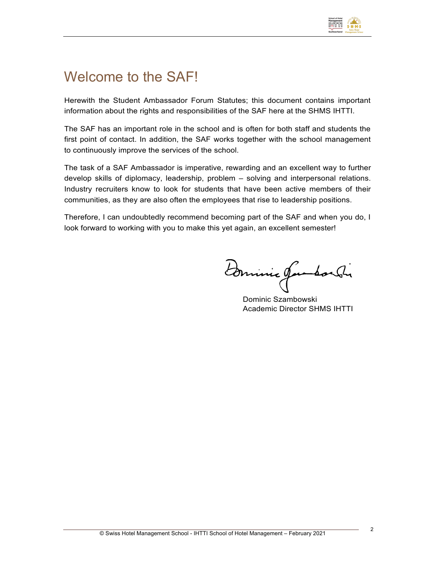

### Welcome to the SAF!

Herewith the Student Ambassador Forum Statutes; this document contains important information about the rights and responsibilities of the SAF here at the SHMS IHTTI.

The SAF has an important role in the school and is often for both staff and students the first point of contact. In addition, the SAF works together with the school management to continuously improve the services of the school.

The task of a SAF Ambassador is imperative, rewarding and an excellent way to further develop skills of diplomacy, leadership, problem – solving and interpersonal relations. Industry recruiters know to look for students that have been active members of their communities, as they are also often the employees that rise to leadership positions.

Therefore, I can undoubtedly recommend becoming part of the SAF and when you do, I look forward to working with you to make this yet again, an excellent semester!

Dominic Jambordi

Dominic Szambowski Academic Director SHMS IHTTI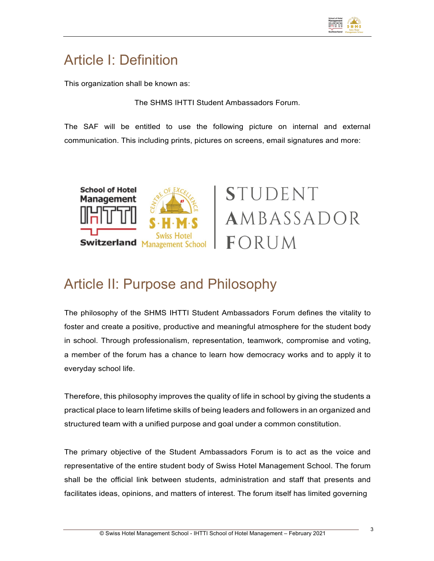

### Article I: Definition

This organization shall be known as:

The SHMS IHTTI Student Ambassadors Forum.

The SAF will be entitled to use the following picture on internal and external communication. This including prints, pictures on screens, email signatures and more:



# **STUDENT** AMBASSADOR FORUM

#### Article II: Purpose and Philosophy

The philosophy of the SHMS IHTTI Student Ambassadors Forum defines the vitality to foster and create a positive, productive and meaningful atmosphere for the student body in school. Through professionalism, representation, teamwork, compromise and voting, a member of the forum has a chance to learn how democracy works and to apply it to everyday school life.

Therefore, this philosophy improves the quality of life in school by giving the students a practical place to learn lifetime skills of being leaders and followers in an organized and structured team with a unified purpose and goal under a common constitution.

The primary objective of the Student Ambassadors Forum is to act as the voice and representative of the entire student body of Swiss Hotel Management School. The forum shall be the official link between students, administration and staff that presents and facilitates ideas, opinions, and matters of interest. The forum itself has limited governing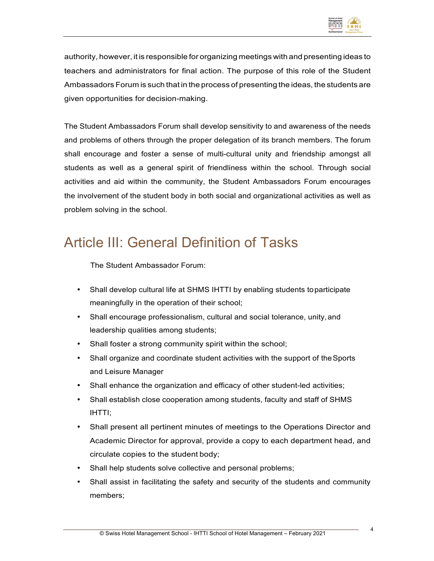

authority, however, it is responsible for organizing meetings with and presenting ideas to teachers and administrators for final action. The purpose of this role of the Student Ambassadors Forum is such that in the process of presenting the ideas, the students are given opportunities for decision-making.

The Student Ambassadors Forum shall develop sensitivity to and awareness of the needs and problems of others through the proper delegation of its branch members. The forum shall encourage and foster a sense of multi-cultural unity and friendship amongst all students as well as a general spirit of friendliness within the school. Through social activities and aid within the community, the Student Ambassadors Forum encourages the involvement of the student body in both social and organizational activities as well as problem solving in the school.

### Article III: General Definition of Tasks

The Student Ambassador Forum:

- Shall develop cultural life at SHMS IHTTI by enabling students toparticipate meaningfully in the operation of their school;
- Shall encourage professionalism, cultural and social tolerance, unity, and leadership qualities among students;
- Shall foster a strong community spirit within the school;
- Shall organize and coordinate student activities with the support of the Sports and Leisure Manager
- Shall enhance the organization and efficacy of other student-led activities;
- Shall establish close cooperation among students, faculty and staff of SHMS IHTTI;
- Shall present all pertinent minutes of meetings to the Operations Director and Academic Director for approval, provide a copy to each department head, and circulate copies to the student body;
- Shall help students solve collective and personal problems;
- Shall assist in facilitating the safety and security of the students and community members;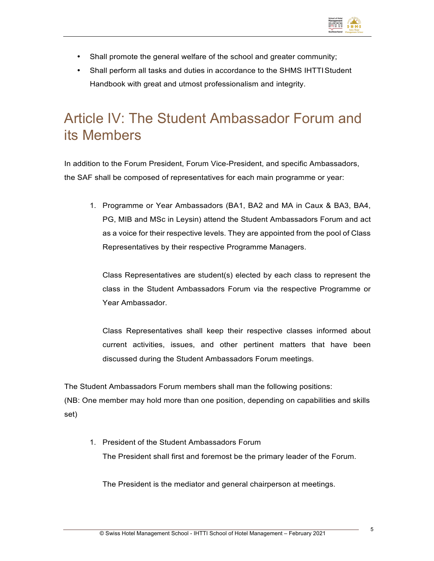

- Shall promote the general welfare of the school and greater community;
- Shall perform all tasks and duties in accordance to the SHMS IHTTIStudent Handbook with great and utmost professionalism and integrity.

### Article IV: The Student Ambassador Forum and its Members

In addition to the Forum President, Forum Vice-President, and specific Ambassadors, the SAF shall be composed of representatives for each main programme or year:

1. Programme or Year Ambassadors (BA1, BA2 and MA in Caux & BA3, BA4, PG, MIB and MSc in Leysin) attend the Student Ambassadors Forum and act as a voice for their respective levels. They are appointed from the pool of Class Representatives by their respective Programme Managers.

Class Representatives are student(s) elected by each class to represent the class in the Student Ambassadors Forum via the respective Programme or Year Ambassador.

Class Representatives shall keep their respective classes informed about current activities, issues, and other pertinent matters that have been discussed during the Student Ambassadors Forum meetings.

The Student Ambassadors Forum members shall man the following positions:

(NB: One member may hold more than one position, depending on capabilities and skills set)

1. President of the Student Ambassadors Forum The President shall first and foremost be the primary leader of the Forum.

The President is the mediator and general chairperson at meetings.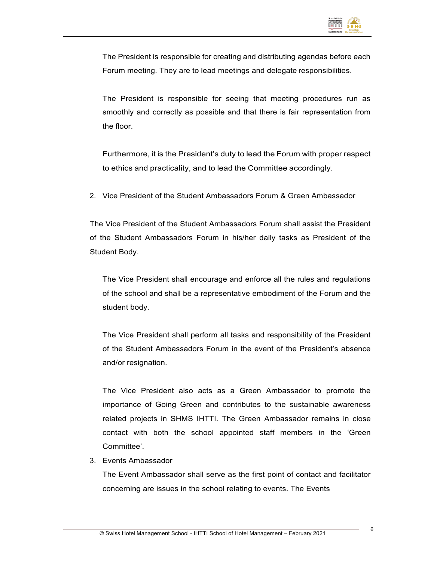

The President is responsible for creating and distributing agendas before each Forum meeting. They are to lead meetings and delegate responsibilities.

The President is responsible for seeing that meeting procedures run as smoothly and correctly as possible and that there is fair representation from the floor.

Furthermore, it is the President's duty to lead the Forum with proper respect to ethics and practicality, and to lead the Committee accordingly.

2. Vice President of the Student Ambassadors Forum & Green Ambassador

The Vice President of the Student Ambassadors Forum shall assist the President of the Student Ambassadors Forum in his/her daily tasks as President of the Student Body.

The Vice President shall encourage and enforce all the rules and regulations of the school and shall be a representative embodiment of the Forum and the student body.

The Vice President shall perform all tasks and responsibility of the President of the Student Ambassadors Forum in the event of the President's absence and/or resignation.

The Vice President also acts as a Green Ambassador to promote the importance of Going Green and contributes to the sustainable awareness related projects in SHMS IHTTI. The Green Ambassador remains in close contact with both the school appointed staff members in the 'Green Committee'.

3. Events Ambassador

The Event Ambassador shall serve as the first point of contact and facilitator concerning are issues in the school relating to events. The Events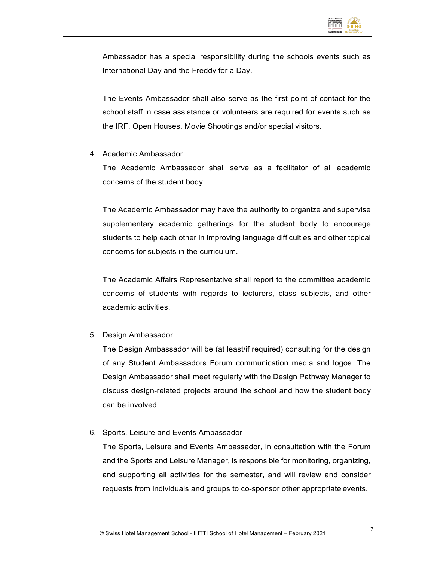

Ambassador has a special responsibility during the schools events such as International Day and the Freddy for a Day.

The Events Ambassador shall also serve as the first point of contact for the school staff in case assistance or volunteers are required for events such as the IRF, Open Houses, Movie Shootings and/or special visitors.

4. Academic Ambassador

The Academic Ambassador shall serve as a facilitator of all academic concerns of the student body.

The Academic Ambassador may have the authority to organize and supervise supplementary academic gatherings for the student body to encourage students to help each other in improving language difficulties and other topical concerns for subjects in the curriculum.

The Academic Affairs Representative shall report to the committee academic concerns of students with regards to lecturers, class subjects, and other academic activities.

5. Design Ambassador

The Design Ambassador will be (at least/if required) consulting for the design of any Student Ambassadors Forum communication media and logos. The Design Ambassador shall meet regularly with the Design Pathway Manager to discuss design-related projects around the school and how the student body can be involved.

6. Sports, Leisure and Events Ambassador

The Sports, Leisure and Events Ambassador, in consultation with the Forum and the Sports and Leisure Manager, is responsible for monitoring, organizing, and supporting all activities for the semester, and will review and consider requests from individuals and groups to co-sponsor other appropriate events.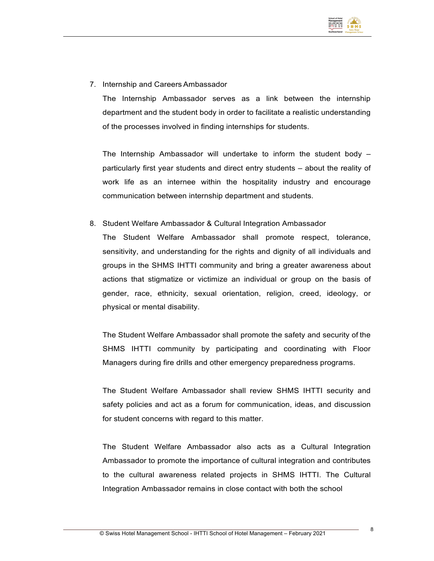

7. Internship and Careers Ambassador

The Internship Ambassador serves as a link between the internship department and the student body in order to facilitate a realistic understanding of the processes involved in finding internships for students.

The Internship Ambassador will undertake to inform the student body – particularly first year students and direct entry students – about the reality of work life as an internee within the hospitality industry and encourage communication between internship department and students.

8. Student Welfare Ambassador & Cultural Integration Ambassador

The Student Welfare Ambassador shall promote respect, tolerance, sensitivity, and understanding for the rights and dignity of all individuals and groups in the SHMS IHTTI community and bring a greater awareness about actions that stigmatize or victimize an individual or group on the basis of gender, race, ethnicity, sexual orientation, religion, creed, ideology, or physical or mental disability.

The Student Welfare Ambassador shall promote the safety and security of the SHMS IHTTI community by participating and coordinating with Floor Managers during fire drills and other emergency preparedness programs.

The Student Welfare Ambassador shall review SHMS IHTTI security and safety policies and act as a forum for communication, ideas, and discussion for student concerns with regard to this matter.

The Student Welfare Ambassador also acts as a Cultural Integration Ambassador to promote the importance of cultural integration and contributes to the cultural awareness related projects in SHMS IHTTI. The Cultural Integration Ambassador remains in close contact with both the school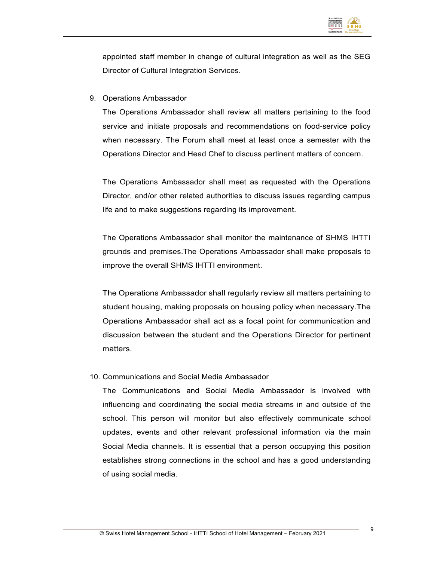

appointed staff member in change of cultural integration as well as the SEG Director of Cultural Integration Services.

9. Operations Ambassador

The Operations Ambassador shall review all matters pertaining to the food service and initiate proposals and recommendations on food-service policy when necessary. The Forum shall meet at least once a semester with the Operations Director and Head Chef to discuss pertinent matters of concern.

The Operations Ambassador shall meet as requested with the Operations Director, and/or other related authorities to discuss issues regarding campus life and to make suggestions regarding its improvement.

The Operations Ambassador shall monitor the maintenance of SHMS IHTTI grounds and premises.The Operations Ambassador shall make proposals to improve the overall SHMS IHTTI environment.

The Operations Ambassador shall regularly review all matters pertaining to student housing, making proposals on housing policy when necessary.The Operations Ambassador shall act as a focal point for communication and discussion between the student and the Operations Director for pertinent matters.

#### 10. Communications and Social Media Ambassador

The Communications and Social Media Ambassador is involved with influencing and coordinating the social media streams in and outside of the school. This person will monitor but also effectively communicate school updates, events and other relevant professional information via the main Social Media channels. It is essential that a person occupying this position establishes strong connections in the school and has a good understanding of using social media.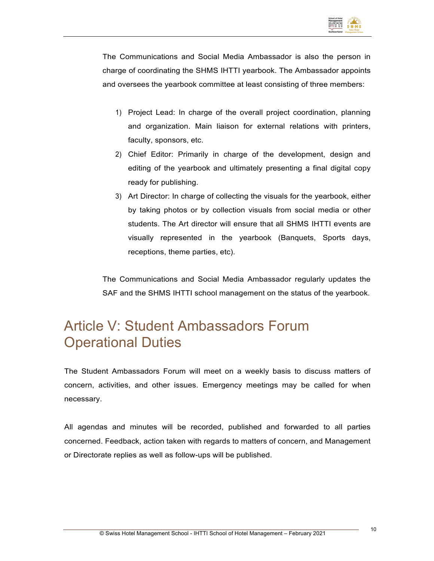

The Communications and Social Media Ambassador is also the person in charge of coordinating the SHMS IHTTI yearbook. The Ambassador appoints and oversees the yearbook committee at least consisting of three members:

- 1) Project Lead: In charge of the overall project coordination, planning and organization. Main liaison for external relations with printers, faculty, sponsors, etc.
- 2) Chief Editor: Primarily in charge of the development, design and editing of the yearbook and ultimately presenting a final digital copy ready for publishing.
- 3) Art Director: In charge of collecting the visuals for the yearbook, either by taking photos or by collection visuals from social media or other students. The Art director will ensure that all SHMS IHTTI events are visually represented in the yearbook (Banquets, Sports days, receptions, theme parties, etc).

The Communications and Social Media Ambassador regularly updates the SAF and the SHMS IHTTI school management on the status of the yearbook.

#### Article V: Student Ambassadors Forum Operational Duties

The Student Ambassadors Forum will meet on a weekly basis to discuss matters of concern, activities, and other issues. Emergency meetings may be called for when necessary.

All agendas and minutes will be recorded, published and forwarded to all parties concerned. Feedback, action taken with regards to matters of concern, and Management or Directorate replies as well as follow-ups will be published.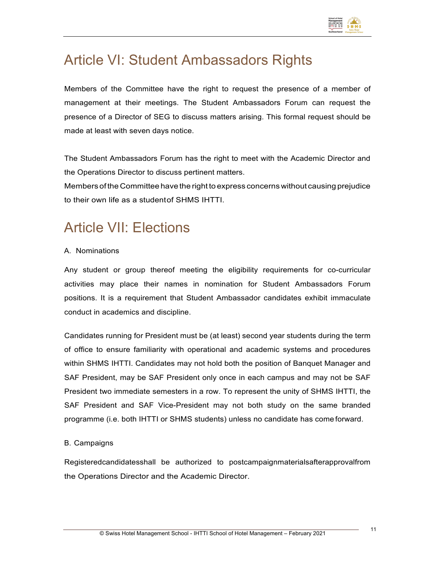

### Article VI: Student Ambassadors Rights

Members of the Committee have the right to request the presence of a member of management at their meetings. The Student Ambassadors Forum can request the presence of a Director of SEG to discuss matters arising. This formal request should be made at least with seven days notice.

The Student Ambassadors Forum has the right to meet with the Academic Director and the Operations Director to discuss pertinent matters.

Members of the Committee have the right to express concerns without causing prejudice to their own life as a studentof SHMS IHTTI.

### Article VII: Elections

#### A. Nominations

Any student or group thereof meeting the eligibility requirements for co-curricular activities may place their names in nomination for Student Ambassadors Forum positions. It is a requirement that Student Ambassador candidates exhibit immaculate conduct in academics and discipline.

Candidates running for President must be (at least) second year students during the term of office to ensure familiarity with operational and academic systems and procedures within SHMS IHTTI. Candidates may not hold both the position of Banquet Manager and SAF President, may be SAF President only once in each campus and may not be SAF President two immediate semesters in a row. To represent the unity of SHMS IHTTI, the SAF President and SAF Vice-President may not both study on the same branded programme (i.e. both IHTTI or SHMS students) unless no candidate has come forward.

#### B. Campaigns

Registeredcandidatesshall be authorized to postcampaignmaterialsafterapprovalfrom the Operations Director and the Academic Director.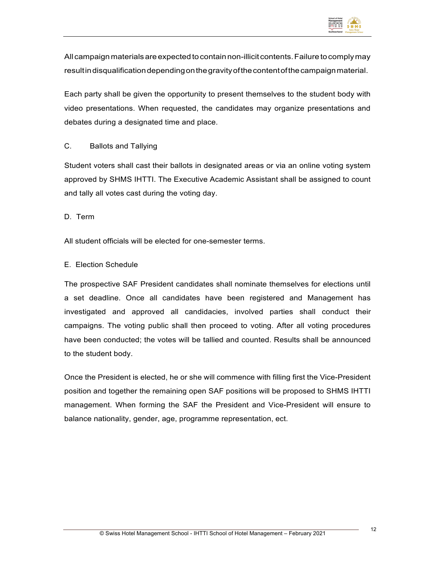

All campaignmaterialsareexpectedtocontainnon-illicit contents.Failuretocomplymay result in disqualification depending on the gravity of the content of the campaign material.

Each party shall be given the opportunity to present themselves to the student body with video presentations. When requested, the candidates may organize presentations and debates during a designated time and place.

#### C. Ballots and Tallying

Student voters shall cast their ballots in designated areas or via an online voting system approved by SHMS IHTTI. The Executive Academic Assistant shall be assigned to count and tally all votes cast during the voting day.

D. Term

All student officials will be elected for one-semester terms.

#### E. Election Schedule

The prospective SAF President candidates shall nominate themselves for elections until a set deadline. Once all candidates have been registered and Management has investigated and approved all candidacies, involved parties shall conduct their campaigns. The voting public shall then proceed to voting. After all voting procedures have been conducted; the votes will be tallied and counted. Results shall be announced to the student body.

Once the President is elected, he or she will commence with filling first the Vice-President position and together the remaining open SAF positions will be proposed to SHMS IHTTI management. When forming the SAF the President and Vice-President will ensure to balance nationality, gender, age, programme representation, ect.